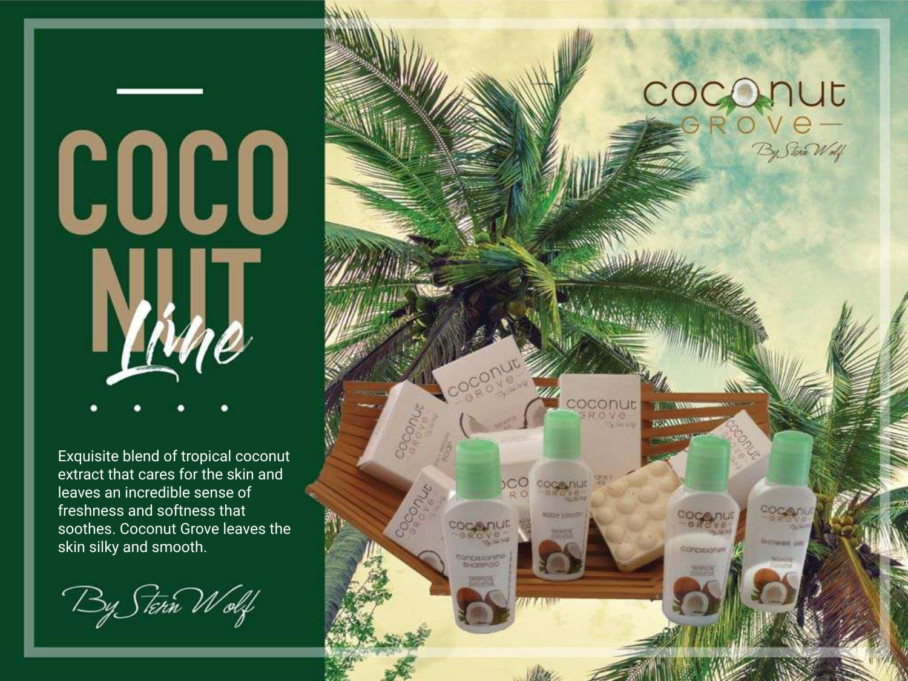# COCO ИT

Exquisite blend of tropical coconut extract that cares for the skin and leaves an incredible sense of freshness and softness that soothes. Coconut Grove leaves the skin silky and smooth.

By Stern Wolf

### COCONUT ) 'V C —<br>'By Sten Welf'

Sanguigne

**COCONUE** 

CC

**COMPARISON**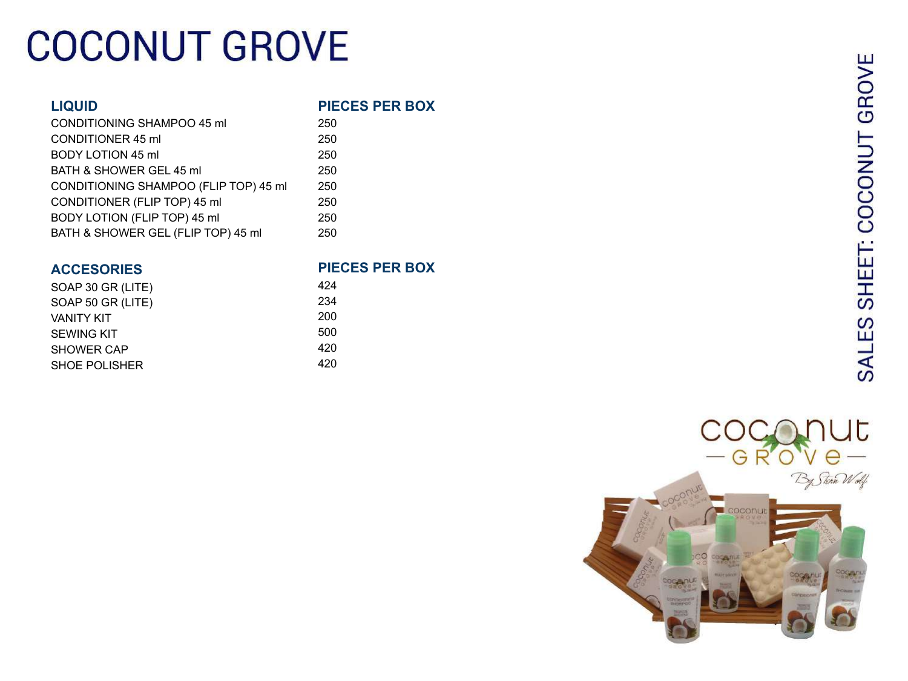## **COCONUT GROVE**

### **LIQUID**

### **PIECES PER BOX**

| 250 |
|-----|
| 250 |
| 250 |
| 250 |
| 250 |
| 250 |
| 250 |
| 250 |
|     |

### **ACCESORIES**

| SOAP 30 GR (LITE) |  |
|-------------------|--|
| SOAP 50 GR (LITE) |  |
| VANITY KIT        |  |
| <b>SEWING KIT</b> |  |
| SHOWER CAP        |  |
| SHOF POLISHER     |  |
|                   |  |

### **PIECES PER BOX**

| 424 |  |
|-----|--|
| 234 |  |
| 200 |  |
| 500 |  |
| 420 |  |
| 420 |  |
|     |  |